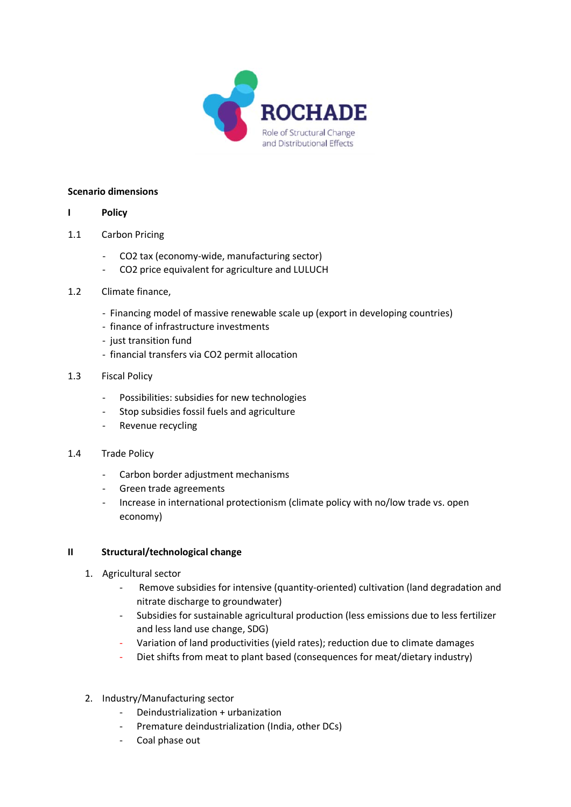

## **Scenario dimensions**

## **I Policy**

- 1.1 Carbon Pricing
	- CO2 tax (economy-wide, manufacturing sector)
	- CO2 price equivalent for agriculture and LULUCH
- 1.2 Climate finance,
	- Financing model of massive renewable scale up (export in developing countries)
	- finance of infrastructure investments
	- just transition fund
	- financial transfers via CO2 permit allocation
- 1.3 Fiscal Policy
	- Possibilities: subsidies for new technologies
	- Stop subsidies fossil fuels and agriculture
	- Revenue recycling
- 1.4 Trade Policy
	- Carbon border adjustment mechanisms
	- Green trade agreements
	- Increase in international protectionism (climate policy with no/low trade vs. open economy)

## **II Structural/technological change**

- 1. Agricultural sector
	- Remove subsidies for intensive (quantity-oriented) cultivation (land degradation and nitrate discharge to groundwater)
	- Subsidies for sustainable agricultural production (less emissions due to less fertilizer and less land use change, SDG)
	- Variation of land productivities (yield rates); reduction due to climate damages
	- Diet shifts from meat to plant based (consequences for meat/dietary industry)
- 2. Industry/Manufacturing sector
	- Deindustrialization + urbanization
	- Premature deindustrialization (India, other DCs)
	- Coal phase out